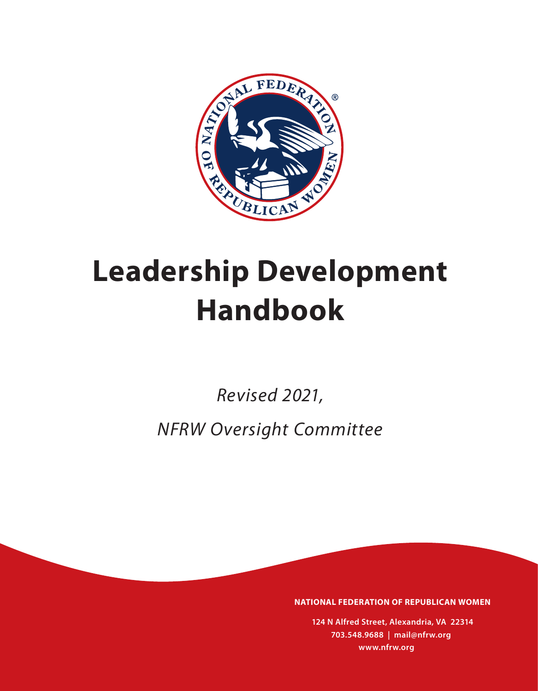

# **Leadership Development Handbook**

*Revised 2021, NFRW Oversight Committee*

**NATIONAL FEDERATION OF REPUBLICAN WOMEN**

**124 N Alfred Street, Alexandria, VA 22314 703.548.9688 | mail@nfrw.org www.nfrw.org**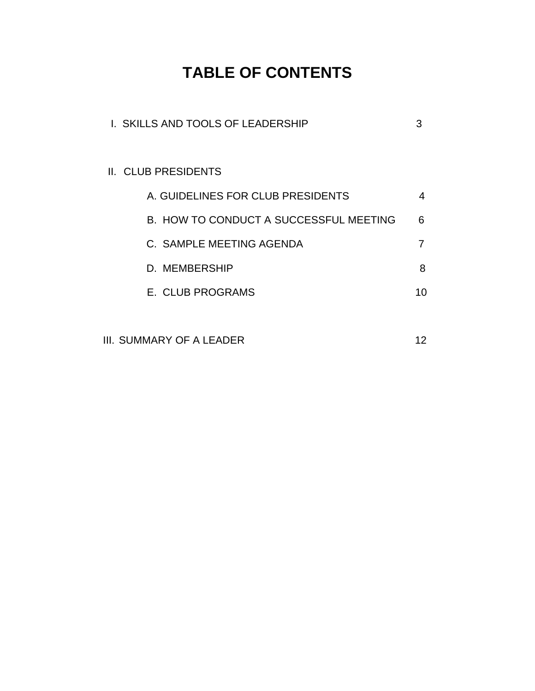# **TABLE OF CONTENTS**

| I. SKILLS AND TOOLS OF LEADERSHIP      | 3  |
|----------------------------------------|----|
|                                        |    |
| <b>II. CLUB PRESIDENTS</b>             |    |
| A. GUIDELINES FOR CLUB PRESIDENTS      | 4  |
| B. HOW TO CONDUCT A SUCCESSFUL MEETING | 6  |
| C. SAMPLE MEETING AGENDA               |    |
| D. MEMBERSHIP                          | 8  |
| E. CLUB PROGRAMS                       | 10 |
|                                        |    |
|                                        |    |

III. SUMMARY OF A LEADER 12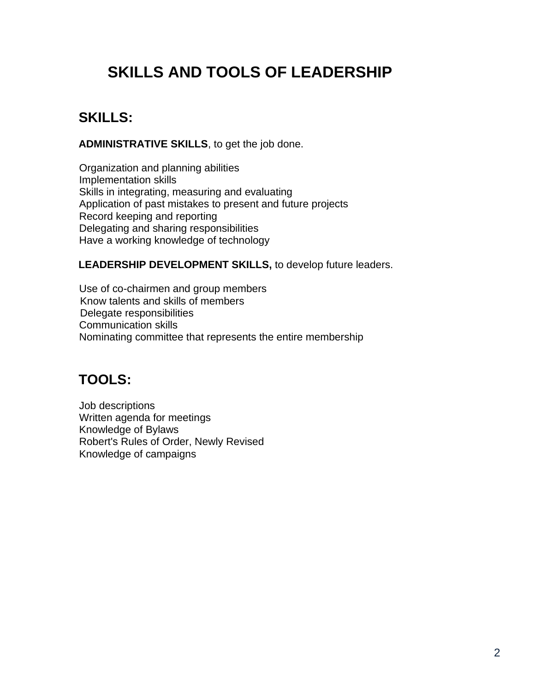# **SKILLS AND TOOLS OF LEADERSHIP**

### **SKILLS:**

**ADMINISTRATIVE SKILLS**, to get the job done.

Organization and planning abilities Implementation skills Skills in integrating, measuring and evaluating Application of past mistakes to present and future projects Record keeping and reporting Delegating and sharing responsibilities Have a working knowledge of technology

#### **LEADERSHIP DEVELOPMENT SKILLS,** to develop future leaders.

Use of co-chairmen and group members Know talents and skills of members Delegate responsibilities Communication skills Nominating committee that represents the entire membership

### **TOOLS:**

Job descriptions Written agenda for meetings Knowledge of Bylaws Robert's Rules of Order, Newly Revised Knowledge of campaigns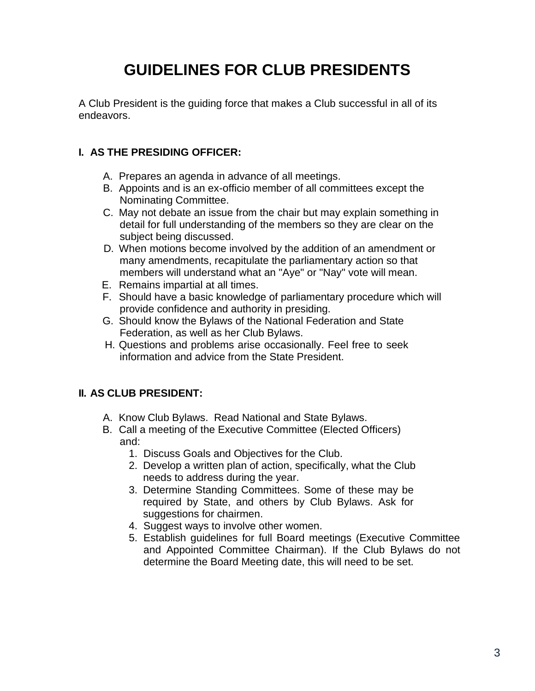# **GUIDELINES FOR CLUB PRESIDENTS**

A Club President is the guiding force that makes a Club successful in all of its endeavors.

#### **I. AS THE PRESIDING OFFICER:**

- A. Prepares an agenda in advance of all meetings.
- B. Appoints and is an ex-officio member of all committees except the Nominating Committee.
- C. May not debate an issue from the chair but may explain something in detail for full understanding of the members so they are clear on the subject being discussed.
- D. When motions become involved by the addition of an amendment or many amendments, recapitulate the parliamentary action so that members will understand what an "Aye" or "Nay" vote will mean.
- E. Remains impartial at all times.
- F. Should have a basic knowledge of parliamentary procedure which will provide confidence and authority in presiding.
- G. Should know the Bylaws of the National Federation and State Federation, as well as her Club Bylaws.
- H. Questions and problems arise occasionally. Feel free to seek information and advice from the State President.

#### **II. AS CLUB PRESIDENT:**

- A. Know Club Bylaws. Read National and State Bylaws.
- B. Call a meeting of the Executive Committee (Elected Officers) and:
	- 1. Discuss Goals and Objectives for the Club.
	- 2. Develop a written plan of action, specifically, what the Club needs to address during the year.
	- 3. Determine Standing Committees. Some of these may be required by State, and others by Club Bylaws. Ask for suggestions for chairmen.
	- 4. Suggest ways to involve other women.
	- 5. Establish guidelines for full Board meetings (Executive Committee and Appointed Committee Chairman). If the Club Bylaws do not determine the Board Meeting date, this will need to be set.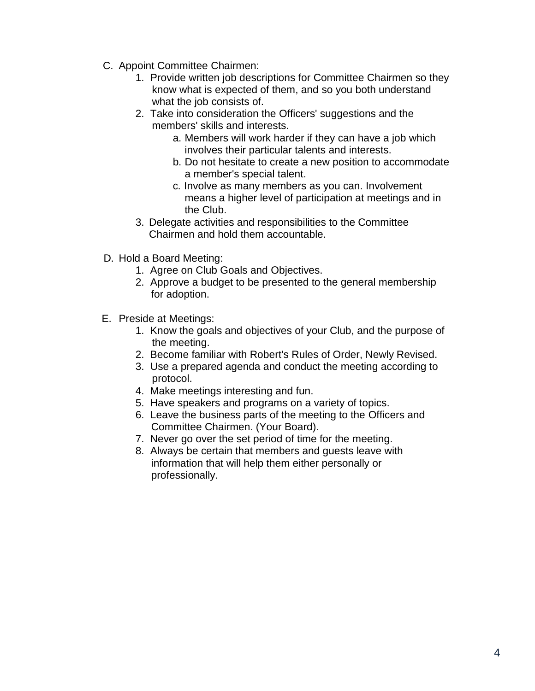- C. Appoint Committee Chairmen:
	- 1. Provide written job descriptions for Committee Chairmen so they know what is expected of them, and so you both understand what the job consists of.
	- 2. Take into consideration the Officers' suggestions and the members' skills and interests.
		- a. Members will work harder if they can have a job which involves their particular talents and interests.
		- b. Do not hesitate to create a new position to accommodate a member's special talent.
		- c. Involve as many members as you can. Involvement means a higher level of participation at meetings and in the Club.
	- 3. Delegate activities and responsibilities to the Committee Chairmen and hold them accountable.
- D. Hold a Board Meeting:
	- 1. Agree on Club Goals and Objectives.
	- 2. Approve a budget to be presented to the general membership for adoption.
- E. Preside at Meetings:
	- 1. Know the goals and objectives of your Club, and the purpose of the meeting.
	- 2. Become familiar with Robert's Rules of Order, Newly Revised.
	- 3. Use a prepared agenda and conduct the meeting according to protocol.
	- 4. Make meetings interesting and fun.
	- 5. Have speakers and programs on a variety of topics.
	- 6. Leave the business parts of the meeting to the Officers and Committee Chairmen. (Your Board).
	- 7. Never go over the set period of time for the meeting.
	- 8. Always be certain that members and guests leave with information that will help them either personally or professionally.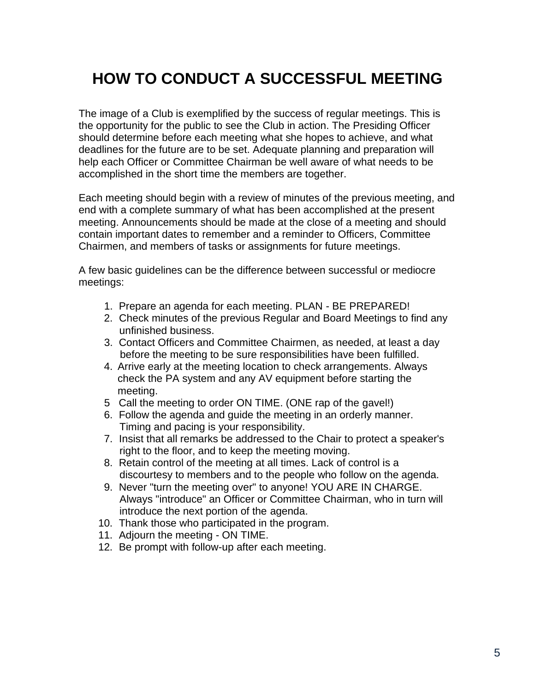## **HOW TO CONDUCT A SUCCESSFUL MEETING**

The image of a Club is exemplified by the success of regular meetings. This is the opportunity for the public to see the Club in action. The Presiding Officer should determine before each meeting what she hopes to achieve, and what deadlines for the future are to be set. Adequate planning and preparation will help each Officer or Committee Chairman be well aware of what needs to be accomplished in the short time the members are together.

Each meeting should begin with a review of minutes of the previous meeting, and end with a complete summary of what has been accomplished at the present meeting. Announcements should be made at the close of a meeting and should contain important dates to remember and a reminder to Officers, Committee Chairmen, and members of tasks or assignments for future meetings.

A few basic guidelines can be the difference between successful or mediocre meetings:

- 1. Prepare an agenda for each meeting. PLAN BE PREPARED!
- 2. Check minutes of the previous Regular and Board Meetings to find any unfinished business.
- 3. Contact Officers and Committee Chairmen, as needed, at least a day before the meeting to be sure responsibilities have been fulfilled.
- 4. Arrive early at the meeting location to check arrangements. Always check the PA system and any AV equipment before starting the meeting.
- 5 Call the meeting to order ON TIME. (ONE rap of the gavel!)
- 6. Follow the agenda and guide the meeting in an orderly manner. Timing and pacing is your responsibility.
- 7. Insist that all remarks be addressed to the Chair to protect a speaker's right to the floor, and to keep the meeting moving.
- 8. Retain control of the meeting at all times. Lack of control is a discourtesy to members and to the people who follow on the agenda.
- 9. Never "turn the meeting over" to anyone! YOU ARE IN CHARGE. Always "introduce" an Officer or Committee Chairman, who in turn will introduce the next portion of the agenda.
- 10. Thank those who participated in the program.
- 11. Adjourn the meeting ON TIME.
- 12. Be prompt with follow-up after each meeting.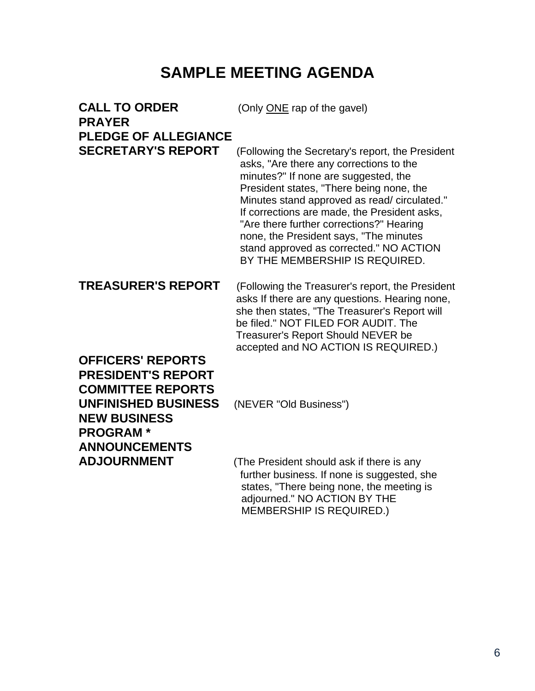## **SAMPLE MEETING AGENDA**

| <b>CALL TO ORDER</b><br><b>PRAYER</b>                                                                                                                     | (Only ONE rap of the gavel)                                                                                                                                                                                                                                                                                                                                                                    |
|-----------------------------------------------------------------------------------------------------------------------------------------------------------|------------------------------------------------------------------------------------------------------------------------------------------------------------------------------------------------------------------------------------------------------------------------------------------------------------------------------------------------------------------------------------------------|
| <b>PLEDGE OF ALLEGIANCE</b><br><b>SECRETARY'S REPORT</b>                                                                                                  | (Following the Secretary's report, the President                                                                                                                                                                                                                                                                                                                                               |
|                                                                                                                                                           | asks, "Are there any corrections to the<br>minutes?" If none are suggested, the<br>President states, "There being none, the<br>Minutes stand approved as read/ circulated."<br>If corrections are made, the President asks,<br>"Are there further corrections?" Hearing<br>none, the President says, "The minutes<br>stand approved as corrected." NO ACTION<br>BY THE MEMBERSHIP IS REQUIRED. |
| <b>TREASURER'S REPORT</b>                                                                                                                                 | (Following the Treasurer's report, the President<br>asks If there are any questions. Hearing none,<br>she then states, "The Treasurer's Report will<br>be filed." NOT FILED FOR AUDIT. The<br>Treasurer's Report Should NEVER be<br>accepted and NO ACTION IS REQUIRED.)                                                                                                                       |
| <b>OFFICERS' REPORTS</b><br><b>PRESIDENT'S REPORT</b><br><b>COMMITTEE REPORTS</b><br><b>UNFINISHED BUSINESS</b><br><b>NEW BUSINESS</b><br><b>PROGRAM*</b> | (NEVER "Old Business")                                                                                                                                                                                                                                                                                                                                                                         |
| <b>ANNOUNCEMENTS</b><br>AN IOUDNMENT                                                                                                                      | $\tau$ he Drooident abould ook if there in any                                                                                                                                                                                                                                                                                                                                                 |

**ADJOURNMENT** (The President should ask if there is any further business. If none is suggested, she states, "There being none, the meeting is adjourned." NO ACTION BY THE MEMBERSHIP IS REQUIRED.)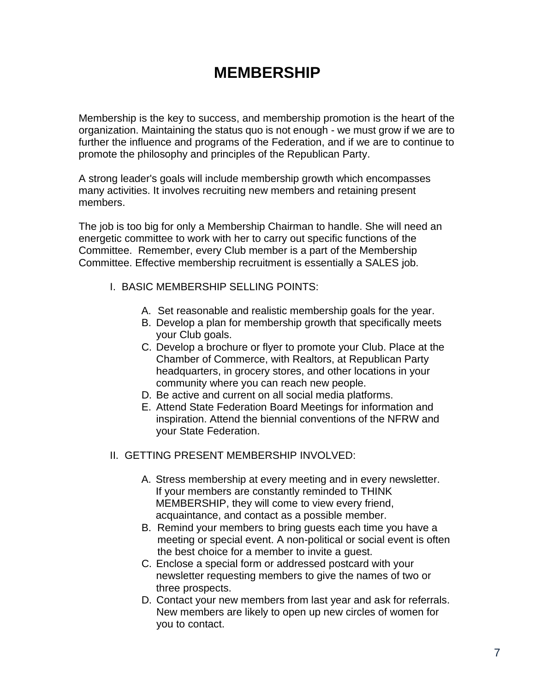### **MEMBERSHIP**

Membership is the key to success, and membership promotion is the heart of the organization. Maintaining the status quo is not enough - we must grow if we are to further the influence and programs of the Federation, and if we are to continue to promote the philosophy and principles of the Republican Party.

A strong leader's goals will include membership growth which encompasses many activities. It involves recruiting new members and retaining present members.

The job is too big for only a Membership Chairman to handle. She will need an energetic committee to work with her to carry out specific functions of the Committee. Remember, every Club member is a part of the Membership Committee. Effective membership recruitment is essentially a SALES job.

- I. BASIC MEMBERSHIP SELLING POINTS:
	- A. Set reasonable and realistic membership goals for the year.
	- B. Develop a plan for membership growth that specifically meets your Club goals.
	- C. Develop a brochure or flyer to promote your Club. Place at the Chamber of Commerce, with Realtors, at Republican Party headquarters, in grocery stores, and other locations in your community where you can reach new people.
	- D. Be active and current on all social media platforms.
	- E. Attend State Federation Board Meetings for information and inspiration. Attend the biennial conventions of the NFRW and your State Federation.
- II. GETTING PRESENT MEMBERSHIP INVOLVED:
	- A. Stress membership at every meeting and in every newsletter. If your members are constantly reminded to THINK MEMBERSHIP, they will come to view every friend, acquaintance, and contact as a possible member.
	- B. Remind your members to bring guests each time you have a meeting or special event. A non-political or social event is often the best choice for a member to invite a guest.
	- C. Enclose a special form or addressed postcard with your newsletter requesting members to give the names of two or three prospects.
	- D. Contact your new members from last year and ask for referrals. New members are likely to open up new circles of women for you to contact.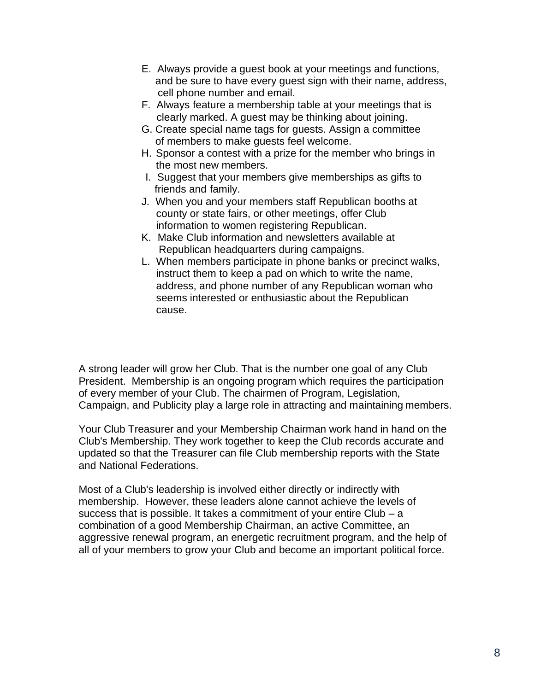- E. Always provide a guest book at your meetings and functions, and be sure to have every guest sign with their name, address, cell phone number and email.
- F. Always feature a membership table at your meetings that is clearly marked. A guest may be thinking about joining.
- G. Create special name tags for guests. Assign a committee of members to make guests feel welcome.
- H. Sponsor a contest with a prize for the member who brings in the most new members.
- I. Suggest that your members give memberships as gifts to friends and family.
- J. When you and your members staff Republican booths at county or state fairs, or other meetings, offer Club information to women registering Republican.
- K. Make Club information and newsletters available at Republican headquarters during campaigns.
- L. When members participate in phone banks or precinct walks, instruct them to keep a pad on which to write the name, address, and phone number of any Republican woman who seems interested or enthusiastic about the Republican cause.

A strong leader will grow her Club. That is the number one goal of any Club President. Membership is an ongoing program which requires the participation of every member of your Club. The chairmen of Program, Legislation, Campaign, and Publicity play a large role in attracting and maintaining members.

Your Club Treasurer and your Membership Chairman work hand in hand on the Club's Membership. They work together to keep the Club records accurate and updated so that the Treasurer can file Club membership reports with the State and National Federations.

Most of a Club's leadership is involved either directly or indirectly with membership. However, these leaders alone cannot achieve the levels of success that is possible. It takes a commitment of your entire  $Club - a$ combination of a good Membership Chairman, an active Committee, an aggressive renewal program, an energetic recruitment program, and the help of all of your members to grow your Club and become an important political force.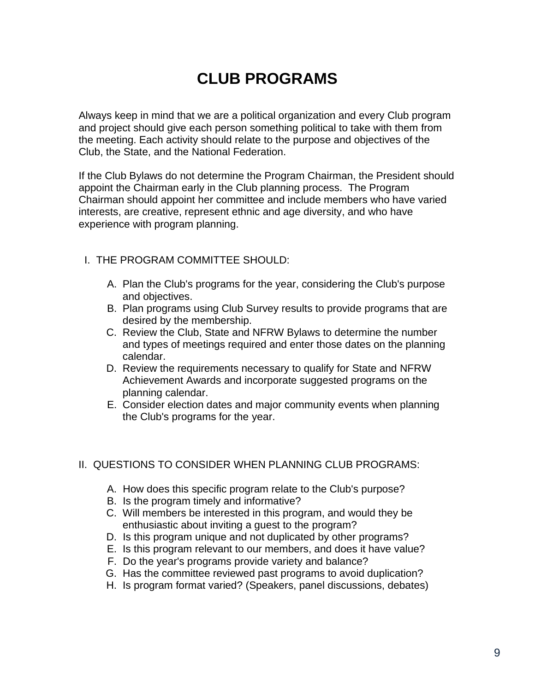## **CLUB PROGRAMS**

Always keep in mind that we are a political organization and every Club program and project should give each person something political to take with them from the meeting. Each activity should relate to the purpose and objectives of the Club, the State, and the National Federation.

If the Club Bylaws do not determine the Program Chairman, the President should appoint the Chairman early in the Club planning process. The Program Chairman should appoint her committee and include members who have varied interests, are creative, represent ethnic and age diversity, and who have experience with program planning.

#### I. THE PROGRAM COMMITTEE SHOULD:

- A. Plan the Club's programs for the year, considering the Club's purpose and objectives.
- B. Plan programs using Club Survey results to provide programs that are desired by the membership.
- C. Review the Club, State and NFRW Bylaws to determine the number and types of meetings required and enter those dates on the planning calendar.
- D. Review the requirements necessary to qualify for State and NFRW Achievement Awards and incorporate suggested programs on the planning calendar.
- E. Consider election dates and major community events when planning the Club's programs for the year.

#### II. QUESTIONS TO CONSIDER WHEN PLANNING CLUB PROGRAMS:

- A. How does this specific program relate to the Club's purpose?
- B. Is the program timely and informative?
- C. Will members be interested in this program, and would they be enthusiastic about inviting a guest to the program?
- D. Is this program unique and not duplicated by other programs?
- E. Is this program relevant to our members, and does it have value?
- F. Do the year's programs provide variety and balance?
- G. Has the committee reviewed past programs to avoid duplication?
- H. Is program format varied? (Speakers, panel discussions, debates)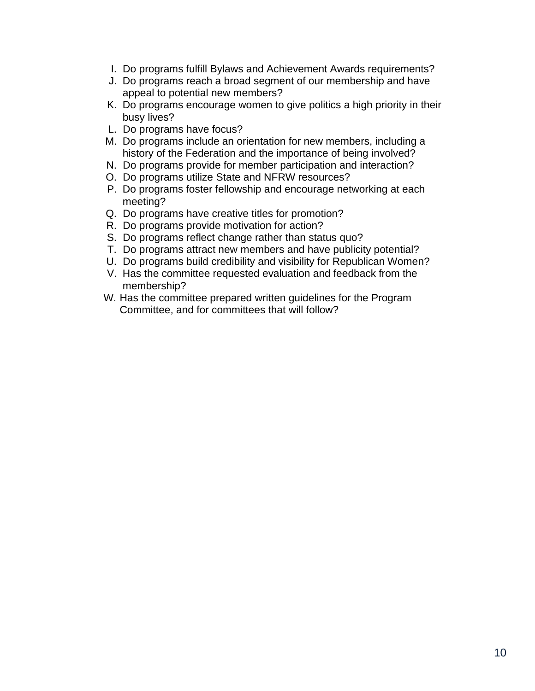- I. Do programs fulfill Bylaws and Achievement Awards requirements?
- J. Do programs reach a broad segment of our membership and have appeal to potential new members?
- K. Do programs encourage women to give politics a high priority in their busy lives?
- L. Do programs have focus?
- M. Do programs include an orientation for new members, including a history of the Federation and the importance of being involved?
- N. Do programs provide for member participation and interaction?
- O. Do programs utilize State and NFRW resources?
- P. Do programs foster fellowship and encourage networking at each meeting?
- Q. Do programs have creative titles for promotion?
- R. Do programs provide motivation for action?
- S. Do programs reflect change rather than status quo?
- T. Do programs attract new members and have publicity potential?
- U. Do programs build credibility and visibility for Republican Women?
- V. Has the committee requested evaluation and feedback from the membership?
- W. Has the committee prepared written guidelines for the Program Committee, and for committees that will follow?